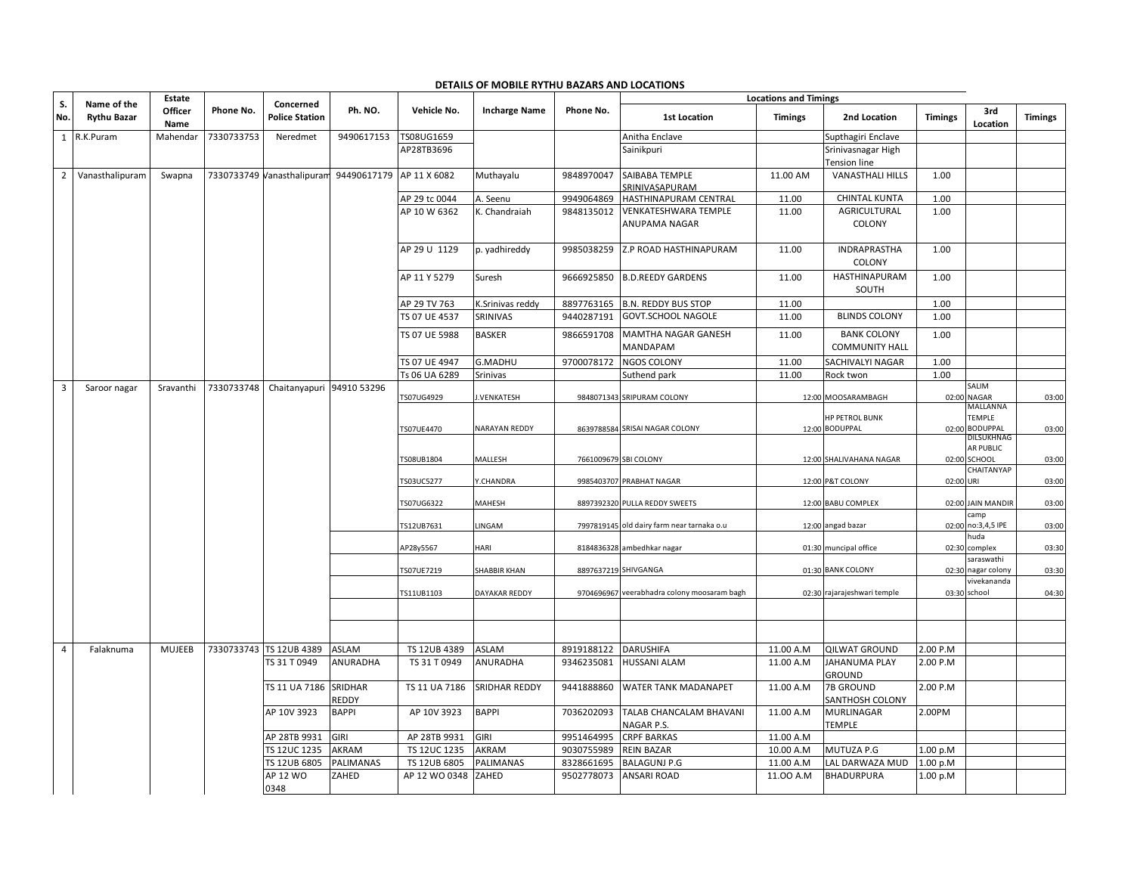| S.                      | Name of the        | Estate          |            | Concerned                  |                    |                               |                                             |                          | <b>Locations and Timings</b>                 |                        |                                             |                      |                                         |                |
|-------------------------|--------------------|-----------------|------------|----------------------------|--------------------|-------------------------------|---------------------------------------------|--------------------------|----------------------------------------------|------------------------|---------------------------------------------|----------------------|-----------------------------------------|----------------|
| No.                     | <b>Rythu Bazar</b> | Officer<br>Name | Phone No.  | <b>Police Station</b>      | Ph. NO.            | Vehicle No.                   | <b>Incharge Name</b>                        | Phone No.                | <b>1st Location</b>                          | <b>Timings</b>         | 2nd Location                                | <b>Timings</b>       | 3rd<br>Location                         | <b>Timings</b> |
|                         | 1 R.K.Puram        | Mahendar        | 7330733753 | Neredmet                   | 9490617153         | TS08UG1659                    |                                             |                          | Anitha Enclave                               |                        | Supthagiri Enclave                          |                      |                                         |                |
|                         |                    |                 |            |                            |                    | AP28TB3696                    |                                             |                          | Sainikpuri                                   |                        | Srinivasnagar High<br>Tension line          |                      |                                         |                |
| $\overline{2}$          | Vanasthalipuram    | Swapna          |            | 7330733749 Vanasthalipuran | 94490617179        | AP 11 X 6082                  | Muthayalu                                   | 9848970047               | SAIBABA TEMPLE<br>SRINIVASAPURAM             | 11.00 AM               | <b>VANASTHALI HILLS</b>                     | 1.00                 |                                         |                |
|                         |                    |                 |            |                            |                    | AP 29 tc 0044                 | A. Seenu                                    | 9949064869               | HASTHINAPURAM CENTRAL                        | 11.00                  | <b>CHINTAL KUNTA</b>                        | 1.00                 |                                         |                |
|                         |                    |                 |            |                            |                    | AP 10 W 6362                  | K. Chandraiah                               | 9848135012               | <b>VENKATESHWARA TEMPLE</b><br>ANUPAMA NAGAR | 11.00                  | AGRICULTURAL<br>COLONY                      | 1.00                 |                                         |                |
|                         |                    |                 |            |                            |                    | AP 29 U 1129                  | p. yadhireddy                               | 9985038259               | Z.P ROAD HASTHINAPURAM                       | 11.00                  | <b>INDRAPRASTHA</b><br>COLONY               | 1.00                 |                                         |                |
|                         |                    |                 |            |                            |                    | AP 11 Y 5279                  | Suresh                                      | 9666925850               | <b>B.D.REEDY GARDENS</b>                     | 11.00                  | HASTHINAPURAM<br>SOUTH                      | 1.00                 |                                         |                |
|                         |                    |                 |            |                            |                    | AP 29 TV 763                  | K.Srinivas reddy                            | 8897763165               | <b>B.N. REDDY BUS STOP</b>                   | 11.00                  |                                             | 1.00                 |                                         |                |
|                         |                    |                 |            |                            |                    | TS 07 UE 4537                 | SRINIVAS                                    | 9440287191               | GOVT.SCHOOL NAGOLE                           | 11.00                  | <b>BLINDS COLONY</b>                        | 1.00                 |                                         |                |
|                         |                    |                 |            |                            |                    | TS 07 UE 5988                 | <b>BASKER</b>                               | 9866591708               | <b>MAMTHA NAGAR GANESH</b><br>MANDAPAM       | 11.00                  | <b>BANK COLONY</b><br><b>COMMUNITY HALL</b> | 1.00                 |                                         |                |
|                         |                    |                 |            |                            |                    | TS 07 UE 4947                 | <b>G.MADHU</b>                              | 9700078172               | <b>NGOS COLONY</b>                           | 11.00                  | SACHIVALYI NAGAR                            | 1.00                 |                                         |                |
|                         |                    |                 |            |                            |                    | Ts 06 UA 6289                 | Srinivas                                    |                          | Suthend park                                 | 11.00                  | Rock twon                                   | 1.00                 |                                         |                |
| $\overline{\mathbf{3}}$ | Saroor nagar       | Sravanthi       | 7330733748 | Chaitanyapuri 94910 53296  |                    | TS07UG4929                    | J.VENKATESH                                 |                          | 9848071343 SRIPURAM COLONY                   |                        | 12:00 MOOSARAMBAGH                          | 02:00                | SALIM<br><b>NAGAR</b><br>MALLANNA       | 03:00          |
|                         |                    |                 |            |                            |                    | TS07UE4470                    | <b>NARAYAN REDDY</b>                        |                          | 8639788584 SRISAI NAGAR COLONY               |                        | <b>HP PETROL BUNK</b><br>12:00 BODUPPAL     |                      | TEMPLE<br>02:00 BODUPPAL                | 03:00          |
|                         |                    |                 |            |                            |                    | TS08UB1804                    | MALLESH                                     |                          | 7661009679 SBI COLONY                        |                        | 12:00 SHALIVAHANA NAGAR                     |                      | DILSUKHNAG<br>AR PUBLIC<br>02:00 SCHOOL | 03:00          |
|                         |                    |                 |            |                            |                    | TS03UC5277                    | Y.CHANDRA                                   |                          | 9985403707 PRABHAT NAGAR                     |                        | 12:00 P&T COLONY                            | 02:00 URI            | CHAITANYAP                              | 03:00          |
|                         |                    |                 |            |                            |                    | TS07UG6322                    | MAHESH                                      |                          | 8897392320 PULLA REDDY SWEETS                |                        | 12:00 BABU COMPLEX                          |                      | 02:00 JAIN MANDIR<br>camp               | 03:00          |
|                         |                    |                 |            |                            |                    | TS12UB7631                    | LINGAM                                      |                          | 7997819145 old dairy farm near tarnaka o.u   |                        | 12:00 angad bazar                           |                      | 02:00 no:3,4,5 IPE                      | 03:00          |
|                         |                    |                 |            |                            |                    | AP28y5567                     | HARI                                        |                          | 8184836328 ambedhkar nagar                   |                        | 01:30 muncipal office                       |                      | huda<br>02:30 complex                   | 03:30          |
|                         |                    |                 |            |                            |                    |                               |                                             |                          | 8897637219 SHIVGANGA                         |                        | 01:30 BANK COLONY                           |                      | saraswathi<br>nagar colony              |                |
|                         |                    |                 |            |                            |                    | TS07UE7219<br>TS11UB1103      | <b>SHABBIR KHAN</b><br><b>DAYAKAR REDDY</b> |                          | 9704696967 veerabhadra colony moosaram bagh  |                        | 02:30 rajarajeshwari temple                 | 02:30                | vivekananda<br>03:30 school             | 03:30<br>04:30 |
|                         |                    |                 |            |                            |                    |                               |                                             |                          |                                              |                        |                                             |                      |                                         |                |
|                         |                    |                 |            |                            |                    |                               |                                             |                          |                                              |                        |                                             |                      |                                         |                |
| $\overline{4}$          | Falaknuma          | <b>MUJEEB</b>   |            | 7330733743 TS 12UB 4389    | ASLAM              | TS 12UB 4389                  | <b>ASLAM</b>                                | 8919188122               | <b>DARUSHIFA</b>                             | 11.00 A.M              | <b>QILWAT GROUND</b>                        | 2.00 P.M             |                                         |                |
|                         |                    |                 |            | TS 31 T 0949               | ANURADHA           | TS 31 T 0949                  | <b>ANURADHA</b>                             | 9346235081               | <b>HUSSANI ALAM</b>                          | 11.00 A.M              | <b>JAHANUMA PLAY</b><br><b>GROUND</b>       | 2.00 P.M             |                                         |                |
|                         |                    |                 |            | TS 11 UA 7186 SRIDHAR      | REDDY              | TS 11 UA 7186                 | <b>SRIDHAR REDDY</b>                        | 9441888860               | WATER TANK MADANAPET                         | 11.00 A.M              | <b>7B GROUND</b><br>SANTHOSH COLONY         | 2.00 P.M             |                                         |                |
|                         |                    |                 |            | AP 10V 3923                | <b>BAPPI</b>       | AP 10V 3923                   | <b>BAPPI</b>                                | 7036202093               | TALAB CHANCALAM BHAVANI<br>NAGAR P.S.        | 11.00 A.M              | <b>MURLINAGAR</b><br><b>TEMPLE</b>          | 2.00PM               |                                         |                |
|                         |                    |                 |            | AP 28TB 9931               | <b>GIRI</b>        | AP 28TB 9931                  | <b>GIRI</b>                                 | 9951464995               | <b>CRPF BARKAS</b>                           | 11.00 A.M              |                                             |                      |                                         |                |
|                         |                    |                 |            | TS 12UC 1235               | AKRAM              | TS 12UC 1235                  | <b>AKRAM</b>                                | 9030755989               | <b>REIN BAZAR</b>                            | 10.00 A.M              | MUTUZA P.G                                  | 1.00 p.M             |                                         |                |
|                         |                    |                 |            | TS 12UB 6805<br>AP 12 WO   | PALIMANAS<br>ZAHED | TS 12UB 6805<br>AP 12 WO 0348 | <b>PALIMANAS</b><br>ZAHED                   | 8328661695<br>9502778073 | <b>BALAGUNJ P.G</b><br><b>ANSARI ROAD</b>    | 11.00 A.M<br>11.00 A.M | LAL DARWAZA MUD<br><b>BHADURPURA</b>        | 1.00 p.M<br>1.00 p.M |                                         |                |
|                         |                    |                 |            | 0348                       |                    |                               |                                             |                          |                                              |                        |                                             |                      |                                         |                |

## **DETAILS OF MOBILE RYTHU BAZARS AND LOCATIONS**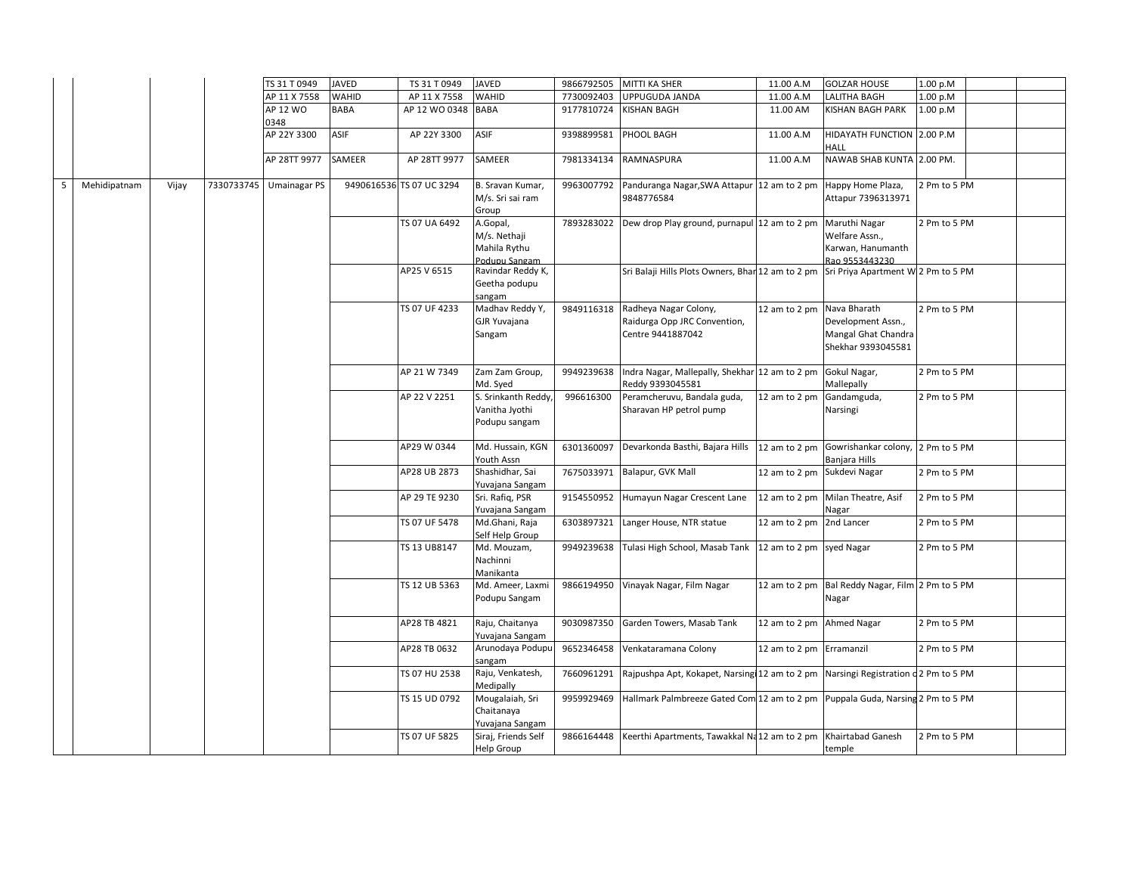|                   |       | TS 31 T 0949            | <b>JAVED</b> | TS 31 T 0949             | <b>JAVED</b>                                              |            | 9866792505 MITTI KA SHER                                                                   | 11.00 A.M                   | <b>GOLZAR HOUSE</b>                                                             | 1.00 p.M     |  |
|-------------------|-------|-------------------------|--------------|--------------------------|-----------------------------------------------------------|------------|--------------------------------------------------------------------------------------------|-----------------------------|---------------------------------------------------------------------------------|--------------|--|
|                   |       | AP 11 X 7558            | <b>WAHID</b> | AP 11 X 7558             | <b>WAHID</b>                                              | 7730092403 | UPPUGUDA JANDA                                                                             | 11.00 A.M                   | <b>LALITHA BAGH</b>                                                             | 1.00 p.M     |  |
|                   |       | AP 12 WO<br>0348        | <b>BABA</b>  | AP 12 WO 0348            | BABA                                                      | 9177810724 | <b>KISHAN BAGH</b>                                                                         | 11.00 AM                    | KISHAN BAGH PARK                                                                | 1.00 p.M     |  |
|                   |       | AP 22Y 3300             | ASIF         | AP 22Y 3300              | ASIF                                                      | 9398899581 | PHOOL BAGH                                                                                 | 11.00 A.M                   | HIDAYATH FUNCTION 2.00 P.M<br>HALL                                              |              |  |
|                   |       | AP 28TT 9977            | SAMEER       | AP 28TT 9977             | SAMEER                                                    | 7981334134 | RAMNASPURA                                                                                 | 11.00 A.M                   | NAWAB SHAB KUNTA 2.00 PM.                                                       |              |  |
| 5<br>Mehidipatnam | Vijay | 7330733745 Umainagar PS |              | 9490616536 TS 07 UC 3294 | B. Sravan Kumar,<br>M/s. Sri sai ram<br>Group             |            | 9963007792 Panduranga Nagar, SWA Attapur 12 am to 2 pm<br>9848776584                       |                             | Happy Home Plaza,<br>Attapur 7396313971                                         | 2 Pm to 5 PM |  |
|                   |       |                         |              | TS 07 UA 6492            | A.Gopal,<br>M/s. Nethaji<br>Mahila Rythu<br>Podupu Sangam |            | 7893283022 Dew drop Play ground, purnapul 12 am to 2 pm                                    |                             | Maruthi Nagar<br>Welfare Assn.,<br>Karwan, Hanumanth<br>Rao 9553443230          | 2 Pm to 5 PM |  |
|                   |       |                         |              | AP25 V 6515              | Ravindar Reddy K,<br>Geetha podupu<br>sangam              |            | Sri Balaji Hills Plots Owners, Bhar 12 am to 2 pm Sri Priya Apartment W 2 Pm to 5 PM       |                             |                                                                                 |              |  |
|                   |       |                         |              | TS 07 UF 4233            | Madhav Reddy Y,<br>GJR Yuvajana<br>Sangam                 | 9849116318 | Radheya Nagar Colony,<br>Raidurga Opp JRC Convention,<br>Centre 9441887042                 | 12 am to 2 pm               | Nava Bharath<br>Development Assn.,<br>Mangal Ghat Chandra<br>Shekhar 9393045581 | 2 Pm to 5 PM |  |
|                   |       |                         |              | AP 21 W 7349             | Zam Zam Group,<br>Md. Syed                                | 9949239638 | Indra Nagar, Mallepally, Shekhar 12 am to 2 pm<br>Reddy 9393045581                         |                             | Gokul Nagar,<br>Mallepally                                                      | 2 Pm to 5 PM |  |
|                   |       |                         |              | AP 22 V 2251             | S. Srinkanth Reddy,<br>Vanitha Jyothi<br>Podupu sangam    | 996616300  | Peramcheruvu, Bandala guda,<br>Sharavan HP petrol pump                                     | 12 am to 2 pm               | Gandamguda,<br>Narsingi                                                         | 2 Pm to 5 PM |  |
|                   |       |                         |              | AP29 W 0344              | Md. Hussain, KGN<br>Youth Assn                            |            | 6301360097 Devarkonda Basthi, Bajara Hills 12 am to 2 pm Gowrishankar colony, 2 Pm to 5 PM |                             | Banjara Hills                                                                   |              |  |
|                   |       |                         |              | AP28 UB 2873             | Shashidhar, Sai<br>Yuvajana Sangam                        | 7675033971 | Balapur, GVK Mall                                                                          | 12 am to 2 pm Sukdevi Nagar |                                                                                 | 2 Pm to 5 PM |  |
|                   |       |                         |              | AP 29 TE 9230            | Sri. Rafiq, PSR<br>Yuvajana Sangam                        | 9154550952 | Humayun Nagar Crescent Lane                                                                | 12 am to 2 pm               | Milan Theatre, Asif<br>Nagar                                                    | 2 Pm to 5 PM |  |
|                   |       |                         |              | TS 07 UF 5478            | Md.Ghani, Raja<br>Self Help Group                         | 6303897321 | Langer House, NTR statue                                                                   | 12 am to 2 pm               | 2nd Lancer                                                                      | 2 Pm to 5 PM |  |
|                   |       |                         |              | TS 13 UB8147             | Md. Mouzam,<br>Nachinni<br>Manikanta                      | 9949239638 | Tulasi High School, Masab Tank 12 am to 2 pm                                               |                             | syed Nagar                                                                      | 2 Pm to 5 PM |  |
|                   |       |                         |              | TS 12 UB 5363            | Md. Ameer, Laxmi<br>Podupu Sangam                         | 9866194950 | Vinayak Nagar, Film Nagar                                                                  |                             | 12 am to 2 pm Bal Reddy Nagar, Film 2 Pm to 5 PM<br>Nagar                       |              |  |
|                   |       |                         |              | AP28 TB 4821             | Raju, Chaitanya<br>Yuvajana Sangam                        |            | 9030987350 Garden Towers, Masab Tank                                                       | 12 am to 2 pm Ahmed Nagar   |                                                                                 | 2 Pm to 5 PM |  |
|                   |       |                         |              | AP28 TB 0632             | Arunodaya Podupu<br>sangam                                | 9652346458 | Venkataramana Colony                                                                       | 12 am to 2 pm Erramanzil    |                                                                                 | 2 Pm to 5 PM |  |
|                   |       |                         |              | TS 07 HU 2538            | Raju, Venkatesh,<br>Medipally                             | 7660961291 | Rajpushpa Apt, Kokapet, Narsing 12 am to 2 pm Narsingi Registration d 2 Pm to 5 PM         |                             |                                                                                 |              |  |
|                   |       |                         |              | TS 15 UD 0792            | Mougalaiah, Sri<br>Chaitanaya<br>Yuvajana Sangam          | 9959929469 | Hallmark Palmbreeze Gated Com 12 am to 2 pm Puppala Guda, Narsing 2 Pm to 5 PM             |                             |                                                                                 |              |  |
|                   |       |                         |              | TS 07 UF 5825            | Siraj, Friends Self<br>Help Group                         |            | 9866164448 Keerthi Apartments, Tawakkal Na12 am to 2 pm Khairtabad Ganesh                  |                             | temple                                                                          | 2 Pm to 5 PM |  |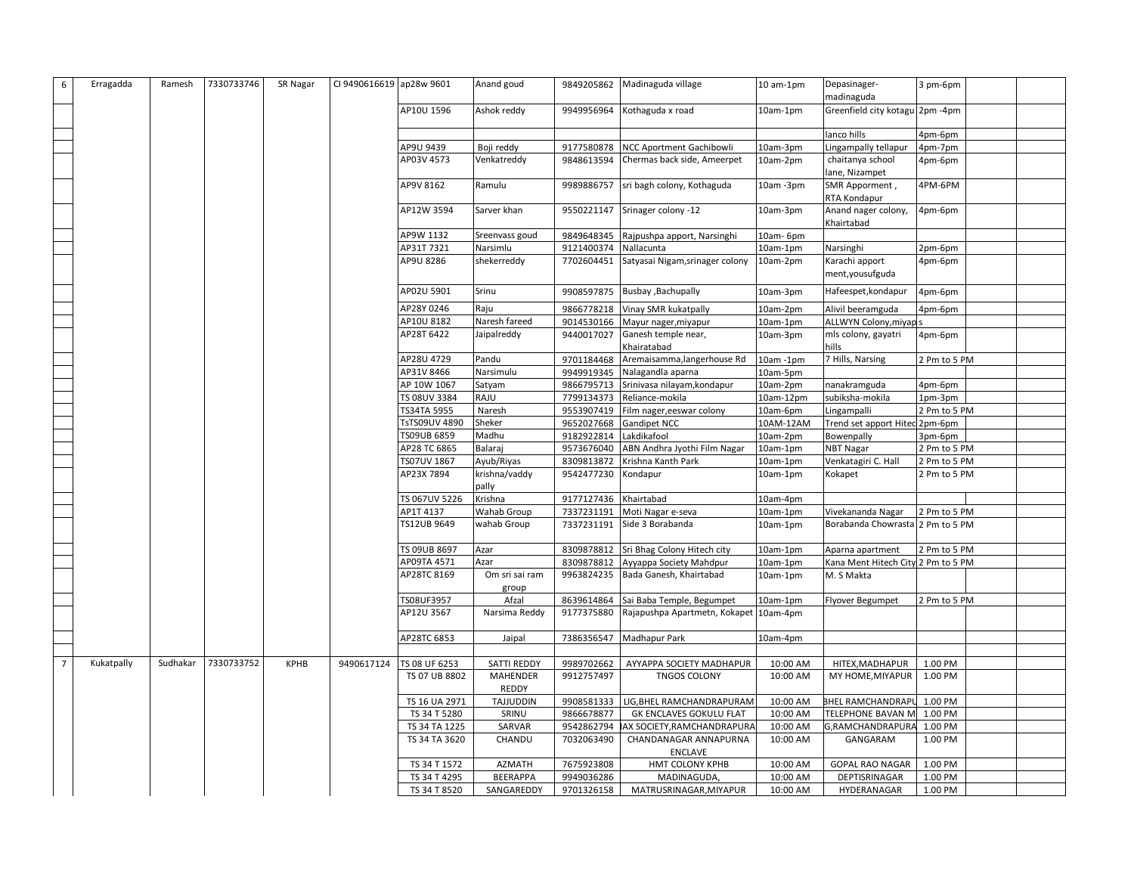| Erragadda<br>6               | Ramesh   | 7330733746 | SR Nagar    | CI 9490616619 ap28w 9601 |               | Anand goud             |                       | 9849205862 Madinaguda village           | 10 am-1pm | Depasinager-<br>madinaguda         | 3 pm-6pm     |  |
|------------------------------|----------|------------|-------------|--------------------------|---------------|------------------------|-----------------------|-----------------------------------------|-----------|------------------------------------|--------------|--|
|                              |          |            |             |                          | AP10U 1596    | Ashok reddy            | 9949956964            | Kothaguda x road                        | 10am-1pm  | Greenfield city kotagu 2pm -4pm    |              |  |
|                              |          |            |             |                          |               |                        |                       |                                         |           |                                    |              |  |
|                              |          |            |             |                          |               |                        |                       |                                         |           | lanco hills                        | 4pm-6pm      |  |
|                              |          |            |             |                          | AP9U 9439     | Boji reddy             | 9177580878            | <b>NCC Aportment Gachibowli</b>         | 10am-3pm  | Lingampally tellapur               | 4pm-7pm      |  |
|                              |          |            |             |                          | AP03V 4573    | Venkatreddy            | 9848613594            | Chermas back side, Ameerpet             | 10am-2pm  | chaitanya school                   | 4pm-6pm      |  |
|                              |          |            |             |                          |               |                        |                       |                                         |           | lane, Nizampet                     |              |  |
|                              |          |            |             |                          | AP9V 8162     | Ramulu                 | 9989886757            | sri bagh colony, Kothaguda              | 10am -3pm | SMR Apporment,<br>RTA Kondapur     | 4PM-6PM      |  |
|                              |          |            |             |                          | AP12W 3594    | Sarver khan            |                       | 9550221147 Srinager colony -12          | 10am-3pm  | Anand nager colony,<br>Khairtabad  | 4pm-6pm      |  |
|                              |          |            |             |                          | AP9W 1132     | Sreenvass goud         |                       | 9849648345 Rajpushpa apport, Narsinghi  | 10am- 6pm |                                    |              |  |
|                              |          |            |             |                          | AP31T 7321    | Narsimlu               | 9121400374            | Nallacunta                              | 10am-1pm  | Narsinghi                          | 2pm-6pm      |  |
|                              |          |            |             |                          | AP9U 8286     | shekerreddy            | 7702604451            | Satyasai Nigam, srinager colony         | 10am-2pm  | Karachi apport<br>ment, yousufguda | 4pm-6pm      |  |
|                              |          |            |             |                          | AP02U 5901    | Srinu                  |                       | 9908597875 Busbay , Bachupally          | 10am-3pm  | Hafeespet, kondapur                | 4pm-6pm      |  |
|                              |          |            |             |                          | AP28Y 0246    | Raju                   |                       | 9866778218 Vinay SMR kukatpally         | 10am-2pm  | Alivil beeramguda                  | 4pm-6pm      |  |
|                              |          |            |             |                          | AP10U 8182    | Naresh fareed          |                       | 9014530166 Mayur nager, miyapur         | 10am-1pm  | ALLWYN Colony, miyap s             |              |  |
|                              |          |            |             |                          | AP28T 6422    | Jaipalreddy            | 9440017027            | Ganesh temple near,<br>Khairatabad      | 10am-3pm  | mls colony, gayatri<br>hills       | 4pm-6pm      |  |
|                              |          |            |             |                          | AP28U 4729    | Pandu                  | 9701184468            | Aremaisamma, langerhouse Rd             | 10am -1pm | 7 Hills, Narsing                   | 2 Pm to 5 PM |  |
|                              |          |            |             |                          | AP31V 8466    | Narsimulu              | 9949919345            | Nalagandla aparna                       | 10am-5pm  |                                    |              |  |
|                              |          |            |             |                          | AP 10W 1067   | Satyam                 | 9866795713            | Srinivasa nilayam, kondapur             | 10am-2pm  | nanakramguda                       | 4pm-6pm      |  |
|                              |          |            |             |                          | TS 08UV 3384  | RAJU                   | 7799134373            | Reliance-mokila                         | 10am-12pm | subiksha-mokila                    | 1pm-3pm      |  |
|                              |          |            |             |                          | TS34TA 5955   | Naresh                 |                       | 9553907419 Film nager, eeswar colony    | 10am-6pm  | Lingampalli                        | 2 Pm to 5 PM |  |
|                              |          |            |             |                          | TsTS09UV 4890 | Sheker                 | 9652027668            | <b>Gandipet NCC</b>                     | 10AM-12AM | Trend set apport Hitec 2pm-6pm     |              |  |
|                              |          |            |             |                          | TS09UB 6859   | Madhu                  | 9182922814            | Lakdikafool                             | 10am-2pm  | Bowenpally                         | 3pm-6pm      |  |
|                              |          |            |             |                          | AP28 TC 6865  | Balaraj                | 9573676040            | ABN Andhra Jyothi Film Nagar            | 10am-1pm  | <b>NBT Nagar</b>                   | 2 Pm to 5 PM |  |
|                              |          |            |             |                          | TS07UV 1867   | Ayub/Riyas             | 8309813872            | Krishna Kanth Park                      | 10am-1pm  | Venkatagiri C. Hall                | 2 Pm to 5 PM |  |
|                              |          |            |             |                          | AP23X 7894    | krishna/vaddy<br>pally | 9542477230            | Kondapur                                | 10am-1pm  | Kokapet                            | 2 Pm to 5 PM |  |
|                              |          |            |             |                          | TS 067UV 5226 | Krishna                | 9177127436 Khairtabad |                                         | 10am-4pm  |                                    |              |  |
|                              |          |            |             |                          | AP1T 4137     | Wahab Group            | 7337231191            | Moti Nagar e-seva                       | 10am-1pm  | Vivekananda Nagar                  | 2 Pm to 5 PM |  |
|                              |          |            |             |                          | TS12UB 9649   | wahab Group            | 7337231191            | Side 3 Borabanda                        | 10am-1pm  | Borabanda Chowrasta 2 Pm to 5 PM   |              |  |
|                              |          |            |             |                          | TS 09UB 8697  | Azar                   |                       | 8309878812 Sri Bhag Colony Hitech city  | 10am-1pm  | Aparna apartment                   | 2 Pm to 5 PM |  |
|                              |          |            |             |                          | AP09TA 4571   | Azar                   |                       | 8309878812 Ayyappa Society Mahdpur      | 10am-1pm  | Kana Ment Hitech City 2 Pm to 5 PM |              |  |
|                              |          |            |             |                          | AP28TC 8169   | Om sri sai ram         | 9963824235            | Bada Ganesh, Khairtabad                 | 10am-1pm  | M. S Makta                         |              |  |
|                              |          |            |             |                          |               | group                  |                       |                                         |           |                                    |              |  |
|                              |          |            |             |                          | TS08UF3957    | Afzal                  | 8639614864            | Sai Baba Temple, Begumpet               | 10am-1pm  | Flyover Begumpet                   | 2 Pm to 5 PM |  |
|                              |          |            |             |                          | AP12U 3567    | Narsima Reddy          | 9177375880            | Rajapushpa Apartmetn, Kokapet           | 10am-4pm  |                                    |              |  |
|                              |          |            |             |                          | AP28TC 6853   | Jaipal                 | 7386356547            | Madhapur Park                           | 10am-4pm  |                                    |              |  |
|                              |          |            |             |                          |               |                        |                       |                                         |           |                                    |              |  |
| $\overline{7}$<br>Kukatpally | Sudhakar | 7330733752 | <b>KPHB</b> | 9490617124               | TS 08 UF 6253 | <b>SATTI REDDY</b>     | 9989702662            | AYYAPPA SOCIETY MADHAPUR                | 10:00 AM  | HITEX, MADHAPUR                    | 1.00 PM      |  |
|                              |          |            |             |                          | TS 07 UB 8802 | MAHENDER<br>REDDY      | 9912757497            | <b>TNGOS COLONY</b>                     | 10:00 AM  | MY HOME, MIYAPUR                   | 1.00 PM      |  |
|                              |          |            |             |                          | TS 16 UA 2971 | TAJJUDDIN              | 9908581333            | LIG, BHEL RAMCHANDRAPURAM               | 10:00 AM  | BHEL RAMCHANDRAPL                  | 1.00 PM      |  |
|                              |          |            |             |                          | TS 34 T 5280  | SRINU                  | 9866678877            | GK ENCLAVES GOKULU FLAT                 | 10:00 AM  | TELEPHONE BAVAN M                  | 1.00 PM      |  |
|                              |          |            |             |                          | TS 34 TA 1225 | SARVAR                 |                       | 9542862794 AX SOCIETY, RAMCHANDRAPURA   | 10:00 AM  | G,RAMCHANDRAPURA                   | 1.00 PM      |  |
|                              |          |            |             |                          | TS 34 TA 3620 | CHANDU                 | 7032063490            | CHANDANAGAR ANNAPURNA<br><b>ENCLAVE</b> | 10:00 AM  | GANGARAM                           | 1.00 PM      |  |
|                              |          |            |             |                          | TS 34 T 1572  | <b>AZMATH</b>          | 7675923808            | HMT COLONY KPHB                         | 10:00 AM  | <b>GOPAL RAO NAGAR</b>             | 1.00 PM      |  |
|                              |          |            |             |                          | TS 34 T 4295  | <b>BEERAPPA</b>        | 9949036286            | MADINAGUDA,                             | 10:00 AM  | DEPTISRINAGAR                      | 1.00 PM      |  |
|                              |          |            |             |                          | TS 34 T 8520  | SANGAREDDY             | 9701326158            | MATRUSRINAGAR, MIYAPUR                  | 10:00 AM  | HYDERANAGAR                        | 1.00 PM      |  |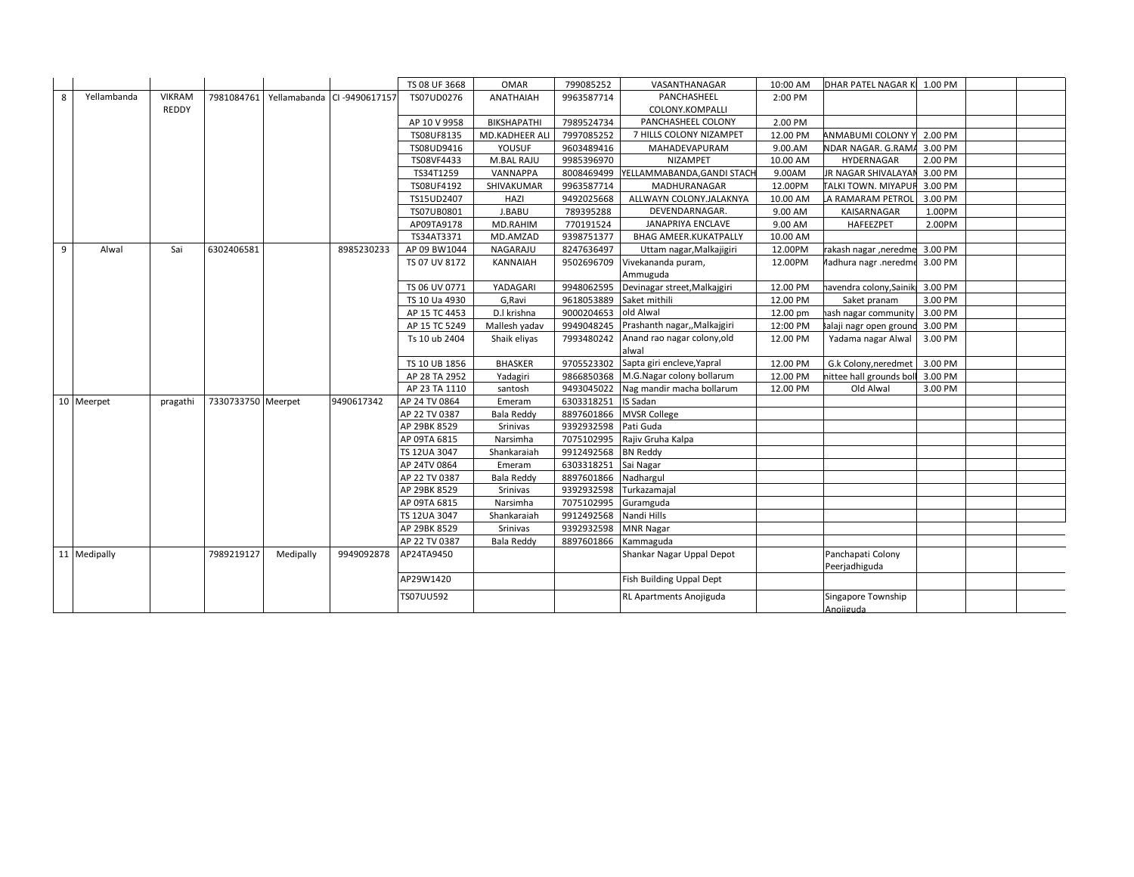|   |              |               |                    |           |                             | TS 08 UF 3668 | <b>OMAR</b>        | 799085252                | VASANTHANAGAR                         | 10:00 AM | DHAR PATEL NAGAR K 1.00 PM      |         |  |
|---|--------------|---------------|--------------------|-----------|-----------------------------|---------------|--------------------|--------------------------|---------------------------------------|----------|---------------------------------|---------|--|
| 8 | Yellambanda  | <b>VIKRAM</b> | 7981084761         |           | Yellamabanda CI -9490617157 | TS07UD0276    | <b>ANATHAIAH</b>   | 9963587714               | PANCHASHEEL                           | 2:00 PM  |                                 |         |  |
|   |              | REDDY         |                    |           |                             |               |                    |                          | COLONY.KOMPALLI                       |          |                                 |         |  |
|   |              |               |                    |           |                             | AP 10 V 9958  | <b>BIKSHAPATHI</b> | 7989524734               | PANCHASHEEL COLONY                    | 2.00 PM  |                                 |         |  |
|   |              |               |                    |           |                             | TS08UF8135    | MD.KADHEER ALI     | 7997085252               | 7 HILLS COLONY NIZAMPET               | 12.00 PM | ANMABUMI COLONY Y 2.00 PM       |         |  |
|   |              |               |                    |           |                             | TS08UD9416    | YOUSUF             | 9603489416               | MAHADEVAPURAM                         | 9.00.AM  | NDAR NAGAR. G.RAMA 3.00 PM      |         |  |
|   |              |               |                    |           |                             | TS08VF4433    | M.BAL RAJU         | 9985396970               | <b>NIZAMPET</b>                       | 10.00 AM | HYDERNAGAR                      | 2.00 PM |  |
|   |              |               |                    |           |                             | TS34T1259     | VANNAPPA           |                          | 8008469499 YELLAMMABANDA, GANDI STACH | 9.00AM   | JR NAGAR SHIVALAYAN 3.00 PM     |         |  |
|   |              |               |                    |           |                             | TS08UF4192    | SHIVAKUMAR         | 9963587714               | MADHURANAGAR                          | 12.00PM  | TALKI TOWN. MIYAPUF 3.00 PM     |         |  |
|   |              |               |                    |           |                             | TS15UD2407    | HAZI               | 9492025668               | ALLWAYN COLONY.JALAKNYA               | 10.00 AM | LA RAMARAM PETROL               | 3.00 PM |  |
|   |              |               |                    |           |                             | TS07UB0801    | J.BABU             | 789395288                | DEVENDARNAGAR.                        | 9.00 AM  | KAISARNAGAR                     | 1.00PM  |  |
|   |              |               |                    |           |                             | AP09TA9178    | MD.RAHIM           | 770191524                | <b>JANAPRIYA ENCLAVE</b>              | 9.00 AM  | HAFEEZPET                       | 2.00PM  |  |
|   |              |               |                    |           |                             | TS34AT3371    | MD.AMZAD           | 9398751377               | <b>BHAG AMEER.KUKATPALLY</b>          | 10.00 AM |                                 |         |  |
| 9 | Alwal        | Sai           | 6302406581         |           | 8985230233                  | AP 09 BW1044  | NAGARAJU           | 8247636497               | Uttam nagar, Malkajigiri              | 12.00PM  | rakash nagar , neredme          | 3.00 PM |  |
|   |              |               |                    |           |                             | TS 07 UV 8172 | <b>KANNAIAH</b>    | 9502696709               | Vivekananda puram,                    | 12.00PM  | Aadhura nagr .neredme 3.00 PM   |         |  |
|   |              |               |                    |           |                             |               |                    |                          | Ammuguda                              |          |                                 |         |  |
|   |              |               |                    |           |                             | TS 06 UV 0771 | YADAGARI           | 9948062595               | Devinagar street, Malkajgiri          | 12.00 PM | navendra colony, Sainik 3.00 PM |         |  |
|   |              |               |                    |           |                             | TS 10 Ua 4930 | G, Ravi            | 9618053889 Saket mithili |                                       | 12.00 PM | Saket pranam                    | 3.00 PM |  |
|   |              |               |                    |           |                             | AP 15 TC 4453 | D.I krishna        | 9000204653 old Alwal     |                                       | 12.00 pm | hash nagar community 3.00 PM    |         |  |
|   |              |               |                    |           |                             | AP 15 TC 5249 | Mallesh yadav      | 9949048245               | Prashanth nagar,, Malkajgiri          | 12:00 PM | Balaji nagr open ground         | 3.00 PM |  |
|   |              |               |                    |           |                             | Ts 10 ub 2404 | Shaik eliyas       | 7993480242               | Anand rao nagar colony, old<br>alwal  | 12.00 PM | Yadama nagar Alwal              | 3.00 PM |  |
|   |              |               |                    |           |                             | TS 10 UB 1856 | <b>BHASKER</b>     |                          | 9705523302 Sapta giri encleve, Yapral | 12.00 PM | G.k Colony, neredmet 3.00 PM    |         |  |
|   |              |               |                    |           |                             | AP 28 TA 2952 | Yadagiri           | 9866850368               | M.G.Nagar colony bollarum             | 12.00 PM | nittee hall grounds boll        | 3.00 PM |  |
|   |              |               |                    |           |                             | AP 23 TA 1110 | santosh            | 9493045022               | Nag mandir macha bollarum             | 12.00 PM | Old Alwal                       | 3.00 PM |  |
|   | 10 Meerpet   | pragathi      | 7330733750 Meerpet |           | 9490617342                  | AP 24 TV 0864 | Emeram             | 6303318251               | <b>IS Sadan</b>                       |          |                                 |         |  |
|   |              |               |                    |           |                             | AP 22 TV 0387 | Bala Reddy         |                          | 8897601866 MVSR College               |          |                                 |         |  |
|   |              |               |                    |           |                             | AP 29BK 8529  | Srinivas           | 9392932598               | Pati Guda                             |          |                                 |         |  |
|   |              |               |                    |           |                             | AP 09TA 6815  | Narsimha           | 7075102995               | Rajiv Gruha Kalpa                     |          |                                 |         |  |
|   |              |               |                    |           |                             | TS 12UA 3047  | Shankaraiah        | 9912492568               | <b>BN Reddy</b>                       |          |                                 |         |  |
|   |              |               |                    |           |                             | AP 24TV 0864  | Emeram             | 6303318251 Sai Nagar     |                                       |          |                                 |         |  |
|   |              |               |                    |           |                             | AP 22 TV 0387 | <b>Bala Reddy</b>  | 8897601866               | Nadhargul                             |          |                                 |         |  |
|   |              |               |                    |           |                             | AP 29BK 8529  | Srinivas           | 9392932598 Turkazamajal  |                                       |          |                                 |         |  |
|   |              |               |                    |           |                             | AP 09TA 6815  | Narsimha           | 7075102995 Guramguda     |                                       |          |                                 |         |  |
|   |              |               |                    |           |                             | TS 12UA 3047  | Shankaraiah        | 9912492568 Nandi Hills   |                                       |          |                                 |         |  |
|   |              |               |                    |           |                             | AP 29BK 8529  | Srinivas           | 9392932598 MNR Nagar     |                                       |          |                                 |         |  |
|   |              |               |                    |           |                             | AP 22 TV 0387 | <b>Bala Reddy</b>  | 8897601866               | Kammaguda                             |          |                                 |         |  |
|   | 11 Medipally |               | 7989219127         | Medipally | 9949092878                  | AP24TA9450    |                    |                          | Shankar Nagar Uppal Depot             |          | Panchapati Colony               |         |  |
|   |              |               |                    |           |                             |               |                    |                          |                                       |          | Peerjadhiguda                   |         |  |
|   |              |               |                    |           |                             | AP29W1420     |                    |                          | Fish Building Uppal Dept              |          |                                 |         |  |
|   |              |               |                    |           |                             | TS07UU592     |                    |                          | RL Apartments Anojiguda               |          | Singapore Township<br>Anoiiguda |         |  |
|   |              |               |                    |           |                             |               |                    |                          |                                       |          |                                 |         |  |